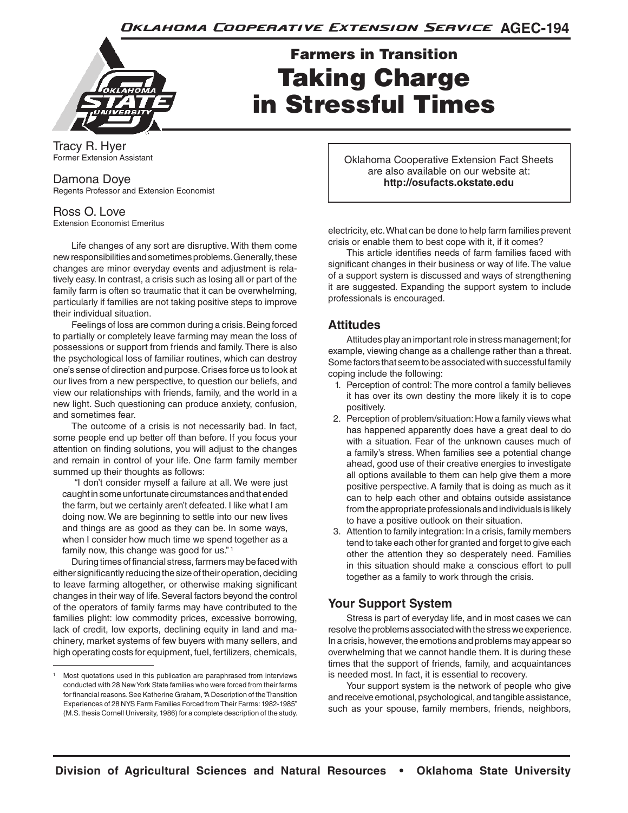Oklahoma Cooperative Extension Service AGEC-194



# Farmers in Transition Taking Charge in Stressful Times

Tracy R. Hyer Former Extension Assistant

### Damona Doye

Regents Professor and Extension Economist

#### Ross O. Love Extension Economist Emeritus

Life changes of any sort are disruptive. With them come new responsibilities and sometimes problems. Generally, these changes are minor everyday events and adjustment is relatively easy. In contrast, a crisis such as losing all or part of the family farm is often so traumatic that it can be overwhelming, particularly if families are not taking positive steps to improve their individual situation.

Feelings of loss are common during a crisis. Being forced to partially or completely leave farming may mean the loss of possessions or support from friends and family. There is also the psychological loss of familiar routines, which can destroy one's sense of direction and purpose. Crises force us to look at our lives from a new perspective, to question our beliefs, and view our relationships with friends, family, and the world in a new light. Such questioning can produce anxiety, confusion, and sometimes fear.

The outcome of a crisis is not necessarily bad. In fact, some people end up better off than before. If you focus your attention on finding solutions, you will adjust to the changes and remain in control of your life. One farm family member summed up their thoughts as follows:

"I don't consider myself a failure at all. We were just caught in some unfortunate circumstances and that ended the farm, but we certainly aren't defeated. I like what I am doing now. We are beginning to settle into our new lives and things are as good as they can be. In some ways, when I consider how much time we spend together as a family now, this change was good for us."<sup>1</sup>

During times of financial stress, farmers may be faced with either significantly reducing the size of their operation, deciding to leave farming altogether, or otherwise making significant changes in their way of life. Several factors beyond the control of the operators of family farms may have contributed to the families plight: low commodity prices, excessive borrowing, lack of credit, low exports, declining equity in land and machinery, market systems of few buyers with many sellers, and high operating costs for equipment, fuel, fertilizers, chemicals, Oklahoma Cooperative Extension Fact Sheets are also available on our website at: **http://osufacts.okstate.edu**

electricity, etc. What can be done to help farm families prevent crisis or enable them to best cope with it, if it comes?

This article identifies needs of farm families faced with significant changes in their business or way of life. The value of a support system is discussed and ways of strengthening it are suggested. Expanding the support system to include professionals is encouraged.

# **Attitudes**

Attitudes play an important role in stress management; for example, viewing change as a challenge rather than a threat. Some factors that seem to be associated with successful family coping include the following:

- 1. Perception of control: The more control a family believes it has over its own destiny the more likely it is to cope positively.
- 2. Perception of problem/situation: How a family views what has happened apparently does have a great deal to do with a situation. Fear of the unknown causes much of a family's stress. When families see a potential change ahead, good use of their creative energies to investigate all options available to them can help give them a more positive perspective. A family that is doing as much as it can to help each other and obtains outside assistance from the appropriate professionals and individuals is likely to have a positive outlook on their situation.
- 3. Attention to family integration: In a crisis, family members tend to take each other for granted and forget to give each other the attention they so desperately need. Families in this situation should make a conscious effort to pull together as a family to work through the crisis.

# **Your Support System**

Stress is part of everyday life, and in most cases we can resolve the problems associated with the stress we experience. In a crisis, however, the emotions and problems may appear so overwhelming that we cannot handle them. It is during these times that the support of friends, family, and acquaintances is needed most. In fact, it is essential to recovery.

Your support system is the network of people who give and receive emotional, psychological, and tangible assistance, such as your spouse, family members, friends, neighbors,

<sup>1</sup> Most quotations used in this publication are paraphrased from interviews conducted with 28 New York State families who were forced from their farms for financial reasons. See Katherine Graham, "A Description of the Transition Experiences of 28 NYS Farm Families Forced from Their Farms: 1982-1985" (M.S. thesis Cornell University, 1986) for a complete description of the study.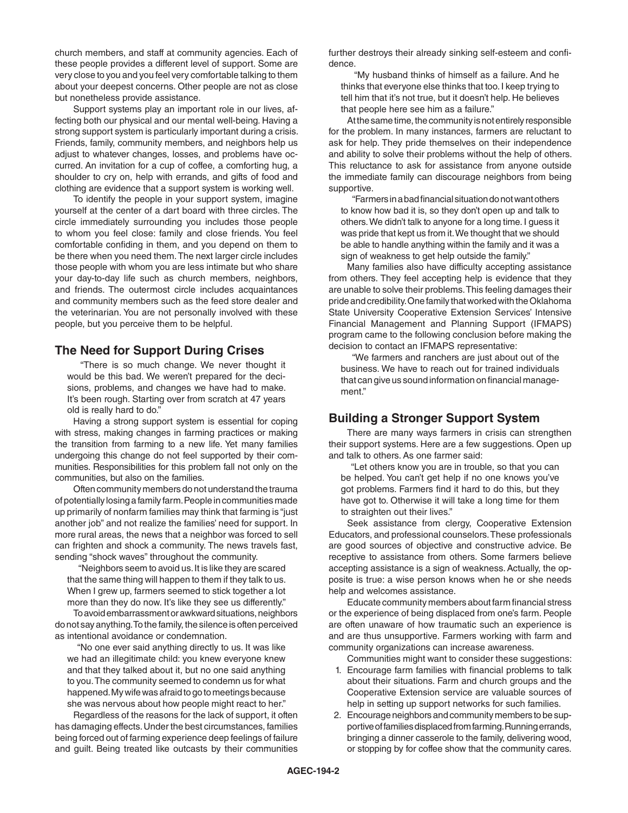church members, and staff at community agencies. Each of these people provides a different level of support. Some are very close to you and you feel very comfortable talking to them about your deepest concerns. Other people are not as close but nonetheless provide assistance.

Support systems play an important role in our lives, affecting both our physical and our mental well-being. Having a strong support system is particularly important during a crisis. Friends, family, community members, and neighbors help us adjust to whatever changes, losses, and problems have occurred. An invitation for a cup of coffee, a comforting hug, a shoulder to cry on, help with errands, and gifts of food and clothing are evidence that a support system is working well.

To identify the people in your support system, imagine yourself at the center of a dart board with three circles. The circle immediately surrounding you includes those people to whom you feel close: family and close friends. You feel comfortable confiding in them, and you depend on them to be there when you need them. The next larger circle includes those people with whom you are less intimate but who share your day-to-day life such as church members, neighbors, and friends. The outermost circle includes acquaintances and community members such as the feed store dealer and the veterinarian. You are not personally involved with these people, but you perceive them to be helpful.

#### **The Need for Support During Crises**

"There is so much change. We never thought it would be this bad. We weren't prepared for the decisions, problems, and changes we have had to make. It's been rough. Starting over from scratch at 47 years old is really hard to do."

Having a strong support system is essential for coping with stress, making changes in farming practices or making the transition from farming to a new life. Yet many families undergoing this change do not feel supported by their communities. Responsibilities for this problem fall not only on the communities, but also on the families.

Often community members do not understand the trauma of potentially losing a family farm. People in communities made up primarily of nonfarm families may think that farming is "just another job" and not realize the families' need for support. In more rural areas, the news that a neighbor was forced to sell can frighten and shock a community. The news travels fast, sending "shock waves" throughout the community.

"Neighbors seem to avoid us. It is like they are scared that the same thing will happen to them if they talk to us. When I grew up, farmers seemed to stick together a lot more than they do now. It's like they see us differently."

To avoid embarrassment or awkward situations, neighbors do not say anything. To the family, the silence is often perceived as intentional avoidance or condemnation.

"No one ever said anything directly to us. It was like we had an illegitimate child: you knew everyone knew and that they talked about it, but no one said anything to you. The community seemed to condemn us for what happened. My wife was afraid to go to meetings because she was nervous about how people might react to her."

Regardless of the reasons for the lack of support, it often has damaging effects. Under the best circumstances, families being forced out of farming experience deep feelings of failure and guilt. Being treated like outcasts by their communities further destroys their already sinking self-esteem and confidence.

"My husband thinks of himself as a failure. And he thinks that everyone else thinks that too. I keep trying to tell him that it's not true, but it doesn't help. He believes that people here see him as a failure."

At the same time, the community is not entirely responsible for the problem. In many instances, farmers are reluctant to ask for help. They pride themselves on their independence and ability to solve their problems without the help of others. This reluctance to ask for assistance from anyone outside the immediate family can discourage neighbors from being supportive.

"Farmers in a bad financial situation do not want others to know how bad it is, so they don't open up and talk to others. We didn't talk to anyone for a long time. I guess it was pride that kept us from it. We thought that we should be able to handle anything within the family and it was a sign of weakness to get help outside the family."

Many families also have difficulty accepting assistance from others. They feel accepting help is evidence that they are unable to solve their problems. This feeling damages their pride and credibility. One family that worked with the Oklahoma State University Cooperative Extension Services' Intensive Financial Management and Planning Support (IFMAPS) program came to the following conclusion before making the decision to contact an IFMAPS representative:

"We farmers and ranchers are just about out of the business. We have to reach out for trained individuals that can give us sound information on financial management."

### **Building a Stronger Support System**

There are many ways farmers in crisis can strengthen their support systems. Here are a few suggestions. Open up and talk to others. As one farmer said:

"Let others know you are in trouble, so that you can be helped. You can't get help if no one knows you've got problems. Farmers find it hard to do this, but they have got to. Otherwise it will take a long time for them to straighten out their lives."

Seek assistance from clergy, Cooperative Extension Educators, and professional counselors. These professionals are good sources of objective and constructive advice. Be receptive to assistance from others. Some farmers believe accepting assistance is a sign of weakness. Actually, the opposite is true: a wise person knows when he or she needs help and welcomes assistance.

Educate community members about farm financial stress or the experience of being displaced from one's farm. People are often unaware of how traumatic such an experience is and are thus unsupportive. Farmers working with farm and community organizations can increase awareness.

- Communities might want to consider these suggestions: 1. Encourage farm families with financial problems to talk about their situations. Farm and church groups and the Cooperative Extension service are valuable sources of help in setting up support networks for such families.
- 2. Encourage neighbors and community members to be supportive of families displaced from farming. Running errands, bringing a dinner casserole to the family, delivering wood, or stopping by for coffee show that the community cares.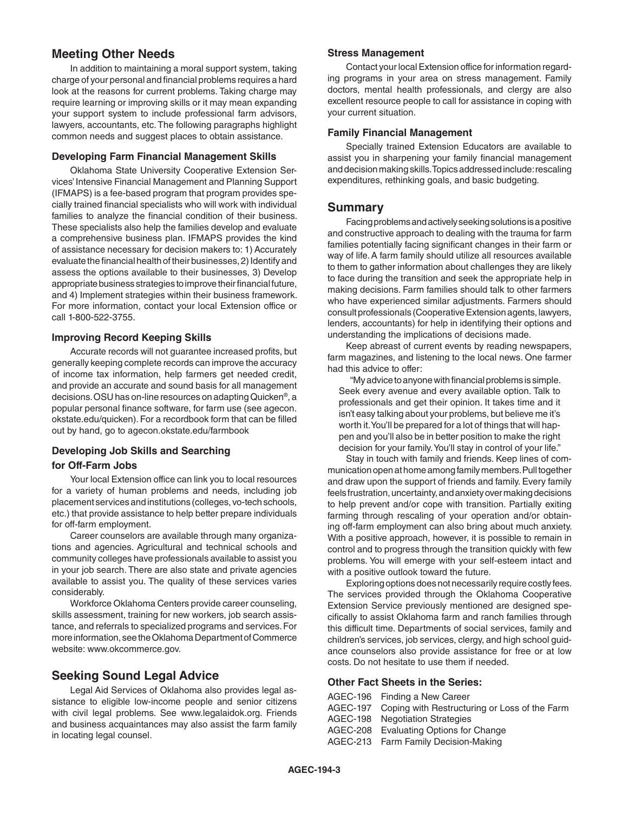# **Meeting Other Needs**

In addition to maintaining a moral support system, taking charge of your personal and financial problems requires a hard look at the reasons for current problems. Taking charge may require learning or improving skills or it may mean expanding your support system to include professional farm advisors, lawyers, accountants, etc. The following paragraphs highlight common needs and suggest places to obtain assistance.

#### **Developing Farm Financial Management Skills**

Oklahoma State University Cooperative Extension Services' Intensive Financial Management and Planning Support (IFMAPS) is a fee-based program that program provides specially trained financial specialists who will work with individual families to analyze the financial condition of their business. These specialists also help the families develop and evaluate a comprehensive business plan. IFMAPS provides the kind of assistance necessary for decision makers to: 1) Accurately evaluate the financial health of their businesses, 2) Identify and assess the options available to their businesses, 3) Develop appropriate business strategies to improve their financial future, and 4) Implement strategies within their business framework. For more information, contact your local Extension office or call 1-800-522-3755.

#### **Improving Record Keeping Skills**

Accurate records will not guarantee increased profits, but generally keeping complete records can improve the accuracy of income tax information, help farmers get needed credit, and provide an accurate and sound basis for all management decisions. OSU has on-line resources on adapting Quicken®, a popular personal finance software, for farm use (see agecon. okstate.edu/quicken). For a recordbook form that can be filled out by hand, go to agecon.okstate.edu/farmbook

#### **Developing Job Skills and Searching**

#### **for Off-Farm Jobs**

Your local Extension office can link you to local resources for a variety of human problems and needs, including job placement services and institutions (colleges, vo-tech schools, etc.) that provide assistance to help better prepare individuals for off-farm employment.

Career counselors are available through many organizations and agencies. Agricultural and technical schools and community colleges have professionals available to assist you in your job search. There are also state and private agencies available to assist you. The quality of these services varies considerably.

Workforce Oklahoma Centers provide career counseling, skills assessment, training for new workers, job search assistance, and referrals to specialized programs and services. For more information, see the Oklahoma Department of Commerce website: www.okcommerce.gov.

## **Seeking Sound Legal Advice**

Legal Aid Services of Oklahoma also provides legal assistance to eligible low-income people and senior citizens with civil legal problems. See www.legalaidok.org. Friends and business acquaintances may also assist the farm family in locating legal counsel.

#### **Stress Management**

Contact your local Extension office for information regarding programs in your area on stress management. Family doctors, mental health professionals, and clergy are also excellent resource people to call for assistance in coping with your current situation.

#### **Family Financial Management**

Specially trained Extension Educators are available to assist you in sharpening your family financial management and decision making skills. Topics addressed include: rescaling expenditures, rethinking goals, and basic budgeting.

#### **Summary**

Facing problems and actively seeking solutions is a positive and constructive approach to dealing with the trauma for farm families potentially facing significant changes in their farm or way of life. A farm family should utilize all resources available to them to gather information about challenges they are likely to face during the transition and seek the appropriate help in making decisions. Farm families should talk to other farmers who have experienced similar adjustments. Farmers should consult professionals (Cooperative Extension agents, lawyers, lenders, accountants) for help in identifying their options and understanding the implications of decisions made.

Keep abreast of current events by reading newspapers, farm magazines, and listening to the local news. One farmer had this advice to offer:

"My advice to anyone with financial problems is simple. Seek every avenue and every available option. Talk to professionals and get their opinion. It takes time and it isn't easy talking about your problems, but believe me it's worth it. You'll be prepared for a lot of things that will happen and you'll also be in better position to make the right decision for your family. You'll stay in control of your life."

Stay in touch with family and friends. Keep lines of communication open at home among family members. Pull together and draw upon the support of friends and family. Every family feels frustration, uncertainty, and anxiety over making decisions to help prevent and/or cope with transition. Partially exiting farming through rescaling of your operation and/or obtaining off-farm employment can also bring about much anxiety. With a positive approach, however, it is possible to remain in control and to progress through the transition quickly with few problems. You will emerge with your self-esteem intact and with a positive outlook toward the future.

Exploring options does not necessarily require costly fees. The services provided through the Oklahoma Cooperative Extension Service previously mentioned are designed specifically to assist Oklahoma farm and ranch families through this difficult time. Departments of social services, family and children's services, job services, clergy, and high school guidance counselors also provide assistance for free or at low costs. Do not hesitate to use them if needed.

#### **Other Fact Sheets in the Series:**

| AGEC-196 Finding a New Career                          |
|--------------------------------------------------------|
| AGEC-197 Coping with Restructuring or Loss of the Farm |
| AGEC-198 Negotiation Strategies                        |
| AGEC-208 Evaluating Options for Change                 |
| AGEC-213 Farm Family Decision-Making                   |
|                                                        |